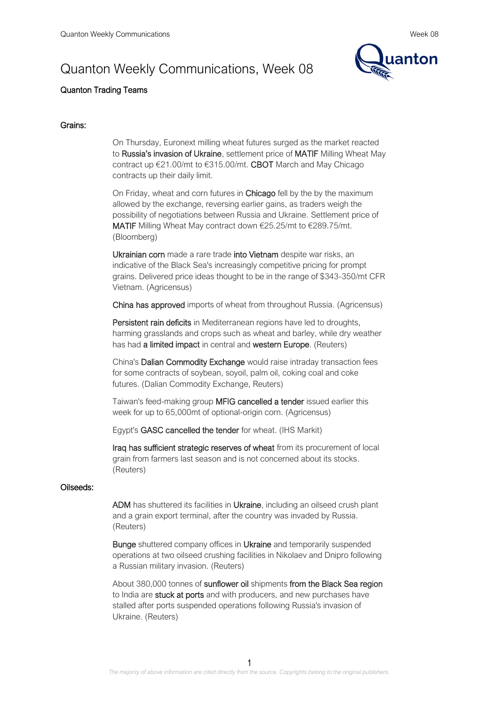

# Quanton Trading Teams

## Grains:

On Thursday, Euronext milling wheat futures surged as the market reacted to Russia's invasion of Ukraine, settlement price of MATIF Milling Wheat May contract up €21.00/mt to €315.00/mt. CBOT March and May Chicago contracts up their daily limit.

On Friday, wheat and corn futures in Chicago fell by the by the maximum allowed by the exchange, reversing earlier gains, as traders weigh the possibility of negotiations between Russia and Ukraine. Settlement price of MATIF Milling Wheat May contract down €25.25/mt to €289.75/mt. (Bloomberg)

Ukrainian corn made a rare trade into Vietnam despite war risks, an indicative of the Black Sea's increasingly competitive pricing for prompt grains. Delivered price ideas thought to be in the range of \$343-350/mt CFR Vietnam. (Agricensus)

China has approved imports of wheat from throughout Russia. (Agricensus)

Persistent rain deficits in Mediterranean regions have led to droughts, harming grasslands and crops such as wheat and barley, while dry weather has had a limited impact in central and western Europe. (Reuters)

China's Dalian Commodity Exchange would raise intraday transaction fees for some contracts of soybean, soyoil, palm oil, coking coal and coke futures. (Dalian Commodity Exchange, Reuters)

Taiwan's feed-making group MFIG cancelled a tender issued earlier this week for up to 65,000mt of optional-origin corn. (Agricensus)

Egypt's GASC cancelled the tender for wheat. (IHS Markit)

Iraq has sufficient strategic reserves of wheat from its procurement of local grain from farmers last season and is not concerned about its stocks. (Reuters)

### Oilseeds:

ADM has shuttered its facilities in Ukraine, including an oilseed crush plant and a grain export terminal, after the country was invaded by Russia. (Reuters)

Bunge shuttered company offices in Ukraine and temporarily suspended operations at two oilseed crushing facilities in Nikolaev and Dnipro following a Russian military invasion. (Reuters)

About 380,000 tonnes of sunflower oil shipments from the Black Sea region to India are **stuck at ports** and with producers, and new purchases have stalled after ports suspended operations following Russia's invasion of Ukraine. (Reuters)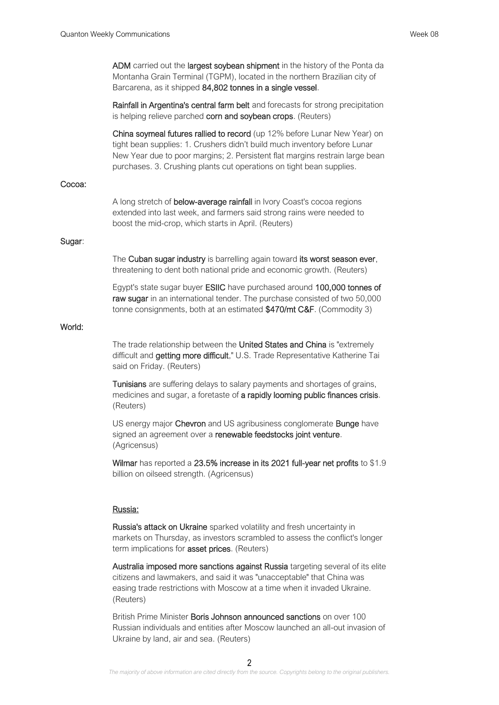ADM carried out the largest soybean shipment in the history of the Ponta da Montanha Grain Terminal (TGPM), located in the northern Brazilian city of Barcarena, as it shipped 84,802 tonnes in a single vessel.

Rainfall in Argentina's central farm belt and forecasts for strong precipitation is helping relieve parched corn and soybean crops. (Reuters)

China soymeal futures rallied to record (up 12% before Lunar New Year) on tight bean supplies: 1. Crushers didn't build much inventory before Lunar New Year due to poor margins; 2. Persistent flat margins restrain large bean purchases. 3. Crushing plants cut operations on tight bean supplies.

### Cocoa:

A long stretch of below-average rainfall in Ivory Coast's cocoa regions extended into last week, and farmers said strong rains were needed to boost the mid-crop, which starts in April. (Reuters)

#### Sugar:

The Cuban sugar industry is barrelling again toward its worst season ever, threatening to dent both national pride and economic growth. (Reuters)

Egypt's state sugar buyer ESIIC have purchased around 100,000 tonnes of raw sugar in an international tender. The purchase consisted of two 50,000 tonne consignments, both at an estimated \$470/mt C&F. (Commodity 3)

## World:

The trade relationship between the United States and China is "extremely difficult and getting more difficult," U.S. Trade Representative Katherine Tai said on Friday. (Reuters)

Tunisians are suffering delays to salary payments and shortages of grains, medicines and sugar, a foretaste of a rapidly looming public finances crisis. (Reuters)

US energy major Chevron and US agribusiness conglomerate Bunge have signed an agreement over a renewable feedstocks joint venture. (Agricensus)

Wilmar has reported a 23.5% increase in its 2021 full-year net profits to \$1.9 billion on oilseed strength. (Agricensus)

#### Russia:

Russia's attack on Ukraine sparked volatility and fresh uncertainty in markets on Thursday, as investors scrambled to assess the conflict's longer term implications for **asset prices**. (Reuters)

Australia imposed more sanctions against Russia targeting several of its elite citizens and lawmakers, and said it was "unacceptable" that China was easing trade restrictions with Moscow at a time when it invaded Ukraine. (Reuters)

British Prime Minister Boris Johnson announced sanctions on over 100 Russian individuals and entities after Moscow launched an all-out invasion of Ukraine by land, air and sea. (Reuters)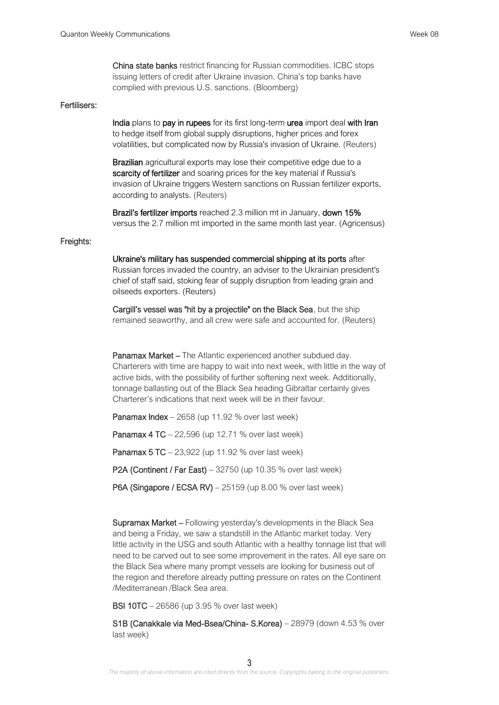China state banks restrict financing for Russian commodities. ICBC stops issuing letters of credit after Ukraine invasion. China's top banks have complied with previous U.S. sanctions. (Bloomberg)

#### Fertilisers:

India plans to pay in rupees for its first long-term urea import deal with Iran to hedge itself from global supply disruptions, higher prices and forex volatilities, but complicated now by Russia's invasion of Ukraine. (Reuters)

**Brazilian** agricultural exports may lose their competitive edge due to a scarcity of fertilizer and soaring prices for the key material if Russia's invasion of Ukraine triggers Western sanctions on Russian fertilizer exports, according to analysts. (Reuters)

Brazil's fertilizer imports reached 2.3 million mt in January, down 15% versus the 2.7 million mt imported in the same month last year. (Agricensus)

#### Freights:

Ukraine's military has suspended commercial shipping at its ports after Russian forces invaded the country, an adviser to the Ukrainian president's chief of staff said, stoking fear of supply disruption from leading grain and oilseeds exporters. (Reuters)

Cargill's vessel was "hit by a projectile" on the Black Sea, but the ship remained seaworthy, and all crew were safe and accounted for. (Reuters)

Panamax Market – The Atlantic experienced another subdued day. Charterers with time are happy to wait into next week, with little in the way of active bids, with the possibility of further softening next week. Additionally, tonnage ballasting out of the Black Sea heading Gibraltar certainly gives Charterer's indications that next week will be in their favour.

Panamax Index - 2658 (up 11.92 % over last week)

Panamax 4 TC – 22,596 (up 12.71 % over last week)

Panamax 5 TC – 23,922 (up 11.92 % over last week)

P2A (Continent / Far East) – 32750 (up 10.35 % over last week)

P6A (Singapore / ECSA RV) – 25159 (up 8.00 % over last week)

Supramax Market – Following yesterday's developments in the Black Sea and being a Friday, we saw a standstill in the Atlantic market today. Very little activity in the USG and south Atlantic with a healthy tonnage list that will need to be carved out to see some improvement in the rates. All eve sare on the Black Sea where many prompt vessels are looking for business out of the region and therefore already putting pressure on rates on the Continent /Mediterranean /Black Sea area.

BSI 10TC – 26586 (up 3.95 % over last week)

S1B (Canakkale via Med-Bsea/China- S.Korea) – 28979 (down 4.53 % over last week)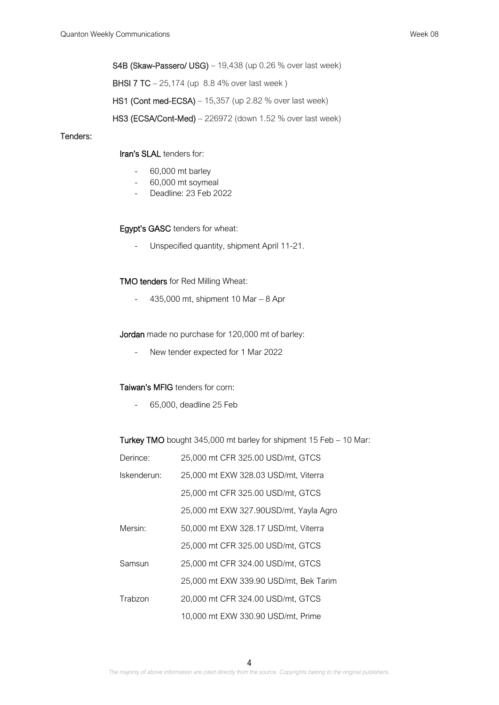S4B (Skaw-Passero/ USG) – 19,438 (up 0.26 % over last week)

BHSI 7 TC – 25,174 (up 8.8 4% over last week )

HS1 (Cont med-ECSA) – 15,357 (up 2.82 % over last week)

HS3 (ECSA/Cont-Med) – 226972 (down 1.52 % over last week)

### Tenders:

## Iran's SLAL tenders for:

- 60,000 mt barley
- 60,000 mt soymeal
- Deadline: 23 Feb 2022

### Egypt's GASC tenders for wheat:

- Unspecified quantity, shipment April 11-21.

### TMO tenders for Red Milling Wheat:

 $-435,000$  mt, shipment 10 Mar  $-8$  Apr

Jordan made no purchase for 120,000 mt of barley:

- New tender expected for 1 Mar 2022

#### Taiwan's MFIG tenders for corn:

- 65,000, deadline 25 Feb

Turkey TMO bought 345,000 mt barley for shipment 15 Feb – 10 Mar:

| Derince:    | 25,000 mt CFR 325.00 USD/mt, GTCS      |
|-------------|----------------------------------------|
| Iskenderun: | 25,000 mt EXW 328.03 USD/mt, Viterra   |
|             | 25,000 mt CFR 325.00 USD/mt, GTCS      |
|             | 25,000 mt EXW 327.90USD/mt, Yayla Agro |
| Mersin:     | 50,000 mt EXW 328.17 USD/mt, Viterra   |
|             | 25,000 mt CFR 325.00 USD/mt, GTCS      |
| Samsun      | 25,000 mt CFR 324.00 USD/mt, GTCS      |
|             | 25,000 mt EXW 339.90 USD/mt, Bek Tarim |
| Trabzon     | 20,000 mt CFR 324.00 USD/mt, GTCS      |
|             | 10,000 mt EXW 330.90 USD/mt, Prime     |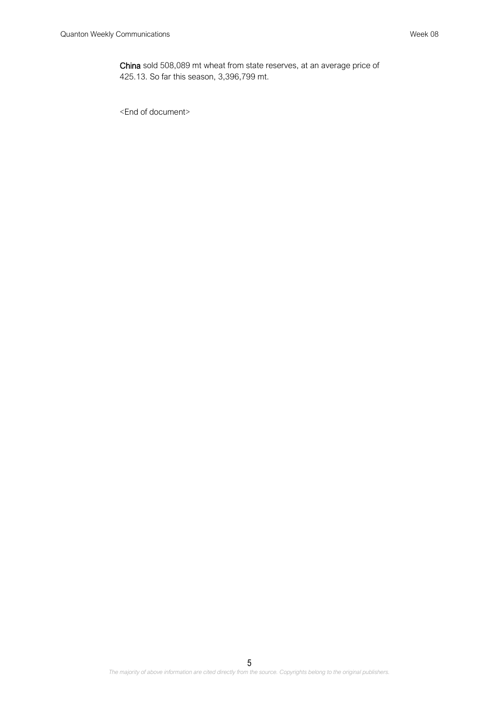China sold 508,089 mt wheat from state reserves, at an average price of 425.13. So far this season, 3,396,799 mt.

<End of document>